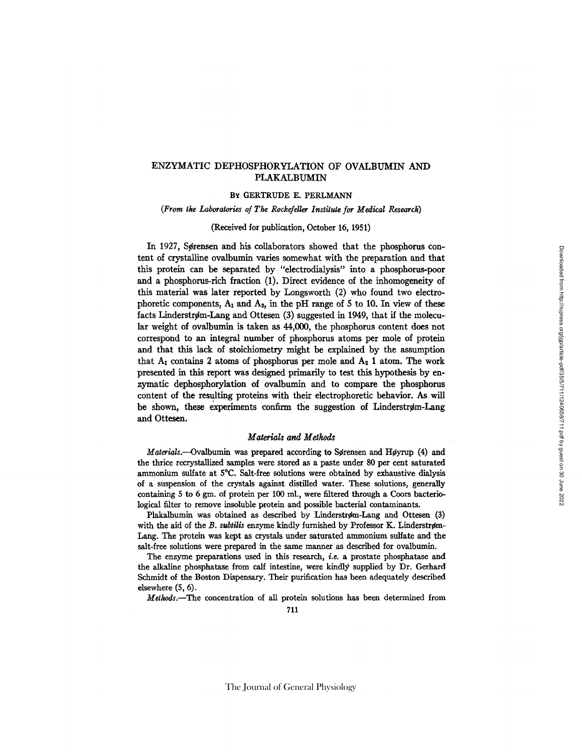# ENZYMATIC DEPHOSPHORYLATION OF OVALBUMIN AND PLAKALBUMIN

# Bx GERTRUDE E. PERLMANN

# *(From the Laboratories of The Rockefeller Institute for Medical Research)*

#### (Received for publication, October 16, 1951)

In 1927, Sørensen and his collaborators showed that the phosphorus content of crystalline ovalbumin varies somewhat with the preparation and that this protein can be separated by "electrodialysis" into a phosphorus-poor and a phosphorus-rich fraction (1). Direct evidence of the inhomogeneity of this material was later reported by Longsworth (2) who found two electrophoretic components,  $A_1$  and  $A_2$ , in the pH range of 5 to 10. In view of these facts Linderstrøm-Lang and Ottesen  $(3)$  suggested in 1949, that if the molecular weight of ovalbumin is taken as 44,000, the phosphorus content does not correspond to an integral number of phosphorus atoms per mole of protein and that this lack of stoichiometry might be explained by the assumption that  $A_1$  contains 2 atoms of phosphorus per mole and  $A_2$  1 atom. The work presented in this report was designed primarily to test this hypothesis by enzymatic dephosphorylation of ovalbumin and to compare the phosphorus content of the resulting proteins with their electrophoretic behavior. As will be shown, these experiments confirm the suggestion of Linderstrøm-Lang and Ottesen.

# *Materials and Methods*

*Materials.*--Ovalbumin was prepared according to Sørensen and Høyrup (4) and the thrice recrystallized samples were stored as a paste under 80 per cent saturated ammonium sulfate at 5°C. Salt-free solutions were obtained by exhaustive dialysis of a suspension of the crystals against distilled water. These solutions, generally containing  $5$  to 6 gm, of protein per 100 ml., were filtered through a Coors bacteriological filter to remove insoluble protein and possible bacterial contaminants.

Plakalbumin was obtained as described by Linderstrøm-Lang and Ottesen (3) with the aid of the B. subtilis enzyme kindly furnished by Professor K. Linderstrøm-Lang. The protein was kept as crystals under saturated ammonium sulfate and the salt-free solutions were prepared in the same manner as described for ovalbumin.

The enzyme preparations used in this research, *i.e.* a prostate phosphatase and the alkaline phosphatase from calf intestine, were kindly supplied by Dr. Gerhard Schmidt of the Boston Dispensary. Their purification has been adequately described elsewhere (5, 6).

*Methods.--The* concentration of all protein solutions has been determined from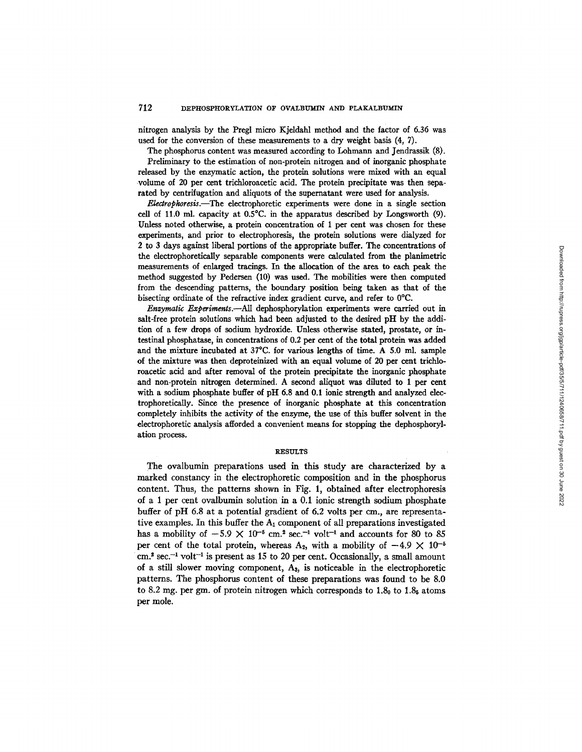nitrogen analysis by the Pregl micro Kjeldahl method and the factor of 6.36 was used for the conversion of these measurements to a dry weight basis (4, 7).

The phosphorus content was measured according to Lohmann and Jendrasslk (8). Preliminary to the estimation of non-protein nitrogen and of inorganic phosphate released by the enzymatic action, the protein solutions were mixed with an equal volume of 20 per cent trichloroacetic acid. The protein precipitate was then separated by centrifugation and aliquots of the supernatant were used for analysis.

*Electrophoresis.--The* electrophoretic experiments were done in a single section cell of Ii.0 ml. capacity at 0.5°C. in the apparatus described by Longsworth (9). Unless noted otherwise, a protein concentration of 1 per cent was chosen for these experiments, and prior to electrophoresis, the protein solutions were dialyzed for 2 to 3 days against liberal portions of the appropriate buffer. The concentrations of the electrophoreticalIy separable components were calculated from the pianimetric measurements of enlarged tracings. In the allocation of the area to each peak the method suggested by Pedersen (10) was used. The mobilities were then computed from the descending patterns, the boundary position being taken as that of the bisecting ordinate of the refractive index gradient curve, and refer to 0°C.

*Enzymatic Experiments.--AlI* dephosphorylation experiments were carried out in salt-free protein solutions which had been adjusted to the desired pH by the addition of a few drops of sodium hydroxide. Unless otherwise stated, prostate, or intestinal phosphatase, in concentrations of 0.2 per cent of the total protein was added and the mixture incubated at 37°C. for various lengths of time. A 5.0 ml. sample of the mixture was then deproteinized with an equal volume of 20 per cent trichloroacetic acid and after removal of the protein precipitate the inorganic phosphate and non-protein nitrogen determined. A second aliquot was diluted to 1 per cent with a sodium phosphate buffer of pH 6.8 and 0.1 ionic strength and analyzed electrophoretieally. Since the presence of inorganic phosphate at this concentration completely inhibits the activity of the enzyme, the use of this buffer solvent in the electrophoretic analysis afforded a convenient means for stopping the dephosphorylation process.

## **RESULTS**

The ovalbumin preparations used in this study are characterized by a marked constancy in the electrophoretic composition and in the phosphorus content. Thus, the patterns shown in Fig. 1, obtained after electrophoresis of a 1 per cent ovalbumin solution in a 0.1 ionic strength sodium phosphate buffer of pH 6.8 at a potential gradient of 6.2 volts per cm., are representative examples. In this buffer the  $A_1$  component of all preparations investigated has a mobility of  $-5.9 \times 10^{-6}$  cm.<sup>2</sup> sec.<sup>-1</sup> volt<sup>-1</sup> and accounts for 80 to 85 per cent of the total protein, whereas A<sub>2</sub>, with a mobility of  $-4.9 \times 10^{-5}$  $cm<sup>2</sup> sec<sup>-1</sup>$  volt<sup>-1</sup> is present as 15 to 20 per cent. Occasionally, a small amount of a still slower moving component, As, is noticeable in the electrophoretic patterns. The phosphorus content of these preparations was found to be 8.0 to 8.2 mg. per gm. of protein nitrogen which corresponds to  $1.8<sub>0</sub>$  to  $1.8<sub>5</sub>$  atoms per mole.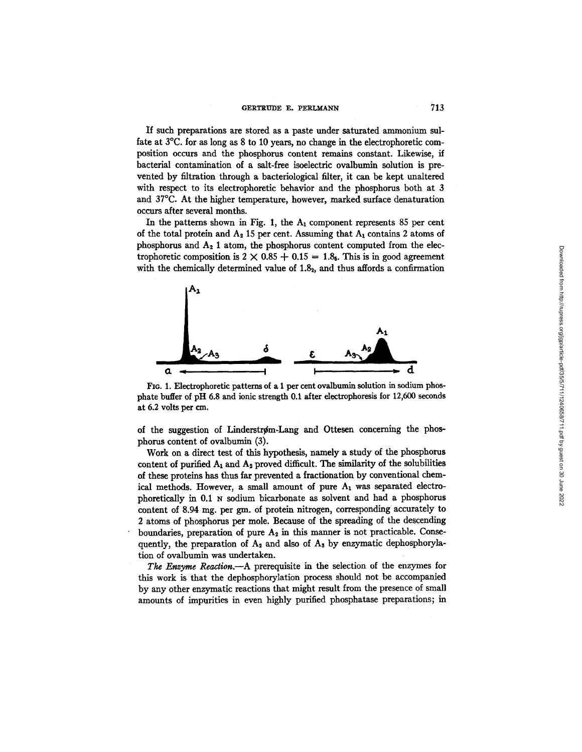If such preparations are stored as a paste under saturated ammonium sulfate at 3°C. for as long as 8 to 10 years, no change in the electrophoretic composition occurs and the phosphorus content remains constant. Likewise, if bacterial contamination of a salt-free isoelectric ovalbumin solution is prevented by filtration through a bacteriological filter, it can be kept unaltered with respect to its electrophoretic behavior and the phosphorus both at 3 and 37°C. At the higher temperature, however, marked surface denaturation occurs after several months.

In the patterns shown in Fig. 1, the  $A_1$  component represents 85 per cent of the total protein and  $A_2$  15 per cent. Assuming that  $A_1$  contains 2 atoms of phosphorus and  $A_2$  1 atom, the phosphorus content computed from the electrophoretic composition is  $2 \times 0.85 + 0.15 = 1.8$ . This is in good agreement with the chemically determined value of  $1.8<sub>2</sub>$ , and thus affords a confirmation



**FIG. 1. Electrophoretic patterns of a 1 per cent ovalbumin solution in sodium phosphate buffer of pH 6.8 and ionic strength 0.1 after electrophoresis for 12,600 seconds at 6.2 volts per cm.** 

of the suggestion of Linderstrøm-Lang and Ottesen concerning the phosphorns content of ovalbumin (3).

Work on a direct test of this hypothesis, namely a study of the phosphorus content of purified  $A_1$  and  $A_2$  proved difficult. The similarity of the solubilities of these proteins has thus far prevented a fractionation by conventional chemical methods. However, a small amount of pure  $A_1$  was separated electrophoretically in 0.1 N sodium bicarbonate as solvent and had a phosphorus content of 8.94 mg. per gm. of protein nitrogen, corresponding accurately to 2 atoms of phosphorus per mole. Because of the spreading of the descending boundaries, preparation of pure  $A_2$  in this manner is not practicable. Consequently, the preparation of  $A_2$  and also of  $A_3$  by enzymatic dephosphorylation of ovalbumin was undertaken.

*The Enzyme Reaction.*---A prerequisite in the selection of the enzymes for this work is that the dephosphorylation process should not be accompanied by any other enzymatic reactions that might result from the presence of small amounts of impurities in even highly purified phosphatase preparations; in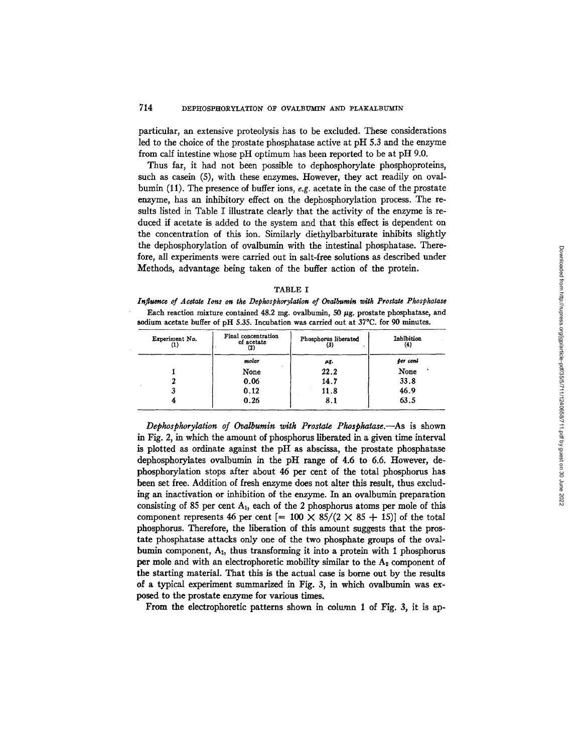particular, an extensive proteolysis has to be excluded. These considerations led to the choice of the prostate phosphatase active at pH 5.3 and the enzyme from calf intestine whose pH optimum has been reported to be at pH 9.0.

Thus far, it had not been possible to dephosphorylate phosphoproteins, such as casein (5), with these enzymes. However, they act readily on ovalbumin (11). The presence of buffer ions, *e.g.* acetate in the case of the prostate enzyme, has an inhibitory effect on the dephosphorylation process. The results listed in Table I illustrate clearly that the activity of the enzyme is reduced if acetate is added to the system and that this effect is dependent on the concentration of this ion. Similarly diethylbarbiturate inhibits slightly the dephosphorylation of ovalbumin with the intestinal phosphatase. Therefore, all experiments were carried out in salt-free solutions as described under Methods, advantage being taken of the buffer action of the protein.

|--|--|

Influence of Acetate Ions on the Dephosphorylation of Ovalbumin with Prostate Phosphatase Each reaction mixture contained  $48.2$  mg. ovalbumin,  $50 \mu$ g. prostate phosphatase, and **sodium** acetate buffer of pH 5.35. Incubation was carried out at 37°C. for 90 minutes.

| Experiment No. | Final concentration<br>of acetate<br>$^{\left( 2\right) }$ | Phosphorus liberated<br>(3) | Inhibition<br>$_{(4)}$ |  |
|----------------|------------------------------------------------------------|-----------------------------|------------------------|--|
|                | molar                                                      | μg.                         | per cent               |  |
|                | None                                                       | 22.2                        | None                   |  |
|                | 0.06                                                       | 14.7                        | 33.8                   |  |
|                | 0.12                                                       | 11.8                        | 46.9                   |  |
|                | 0.26                                                       | 8.1                         | 63.5                   |  |

*Depkospkorylation of Ovalbumin witk Prostate Pkospkatase.--As* is shown in Fig. 2, in which the amount of phosphorus liberated in a given time interval is plotted as ordinate against the pH as abscissa, the prostate phosphatase dephosphorylates ovalbumin in the pH range of 4.6 to 6.6. However, dephosphorylation stops after about 46 per cent of the total phosphorus has been set free. Addition of fresh enzyme does not alter this result, thus excluding an inactivation or inhibition of the enzyme. In an ovalbumin preparation consisting of 85 per cent  $A_1$ , each of the 2 phosphorus atoms per mole of this component represents 46 per cent  $[= 100 \times 85/(2 \times 85 + 15)]$  of the total phosphorus. Therefore, the liberation of this amount suggests that the prostare phosphatase attacks only one of the two phosphate groups of the ovalbumin component,  $A_1$ , thus transforming it into a protein with 1 phosphorus per mole and with an electrophoretic mobility similar to the  $A<sub>2</sub>$  component of the starting material. That this is the actual case is borne out by the results of a typical experiment summarized in Fig. 3, in which ovalbumin was exposed to the prostate enzyme for various times.

From the electrophoretic patterns shown in column 1 of Fig. 3, it is ap-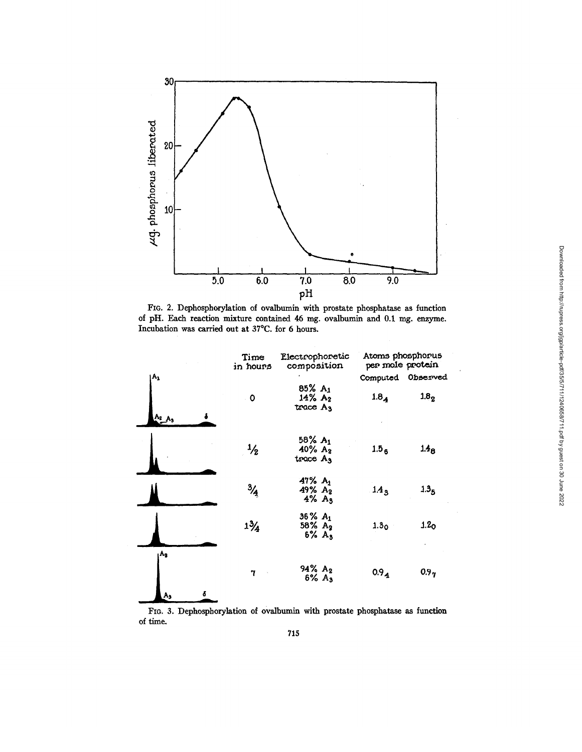

FIG. 2. Dephosphorylation of ovalbumin with prostate phosphatase as function of pH. Each reaction mixture contained 46 mg. ovalbumin and 0.1 mg. enzyme. Incubation was carried out at 37°C. for 5 hours.

|             | Time<br>in hours | Electrophoretic<br>composition                               | Atoms phosphorus<br>per mole protein |                  |
|-------------|------------------|--------------------------------------------------------------|--------------------------------------|------------------|
| Α,          |                  |                                                              | Computed                             | Observed         |
| $A_2$ $A_3$ | $\mathbf o$      | 85% A <sub>1</sub><br>$14\% A_2$<br>trace A <sub>3</sub>     | $1.8_{4}$                            | 1.8 <sub>2</sub> |
|             | $\frac{1}{2}$    | 58% A <sub>1</sub><br>$40\%$ A <sub>2</sub><br>$trace$ $A_3$ | 1.5 <sub>6</sub>                     | $1.48$           |
|             | $\frac{3}{4}$    | $47% A_1$<br>49% A2<br>$4\%$ A <sub>3</sub>                  | 1.4 <sub>3</sub>                     | 1.3 <sub>5</sub> |
|             | $1\frac{3}{4}$   | $36\% A_1$<br>$58\%~A_2$<br>$6% A_3$                         | 1.3 <sub>0</sub>                     | 1.2 <sub>O</sub> |
| A,<br>A,    | 7                | 94% A <sub>2</sub><br>$6\% A_3$                              | $0.9_{4}$                            | 0.9 <sub>7</sub> |

FIG. 3. Dephosphorylation of ovalbumin with prostate phosphatase as function of time.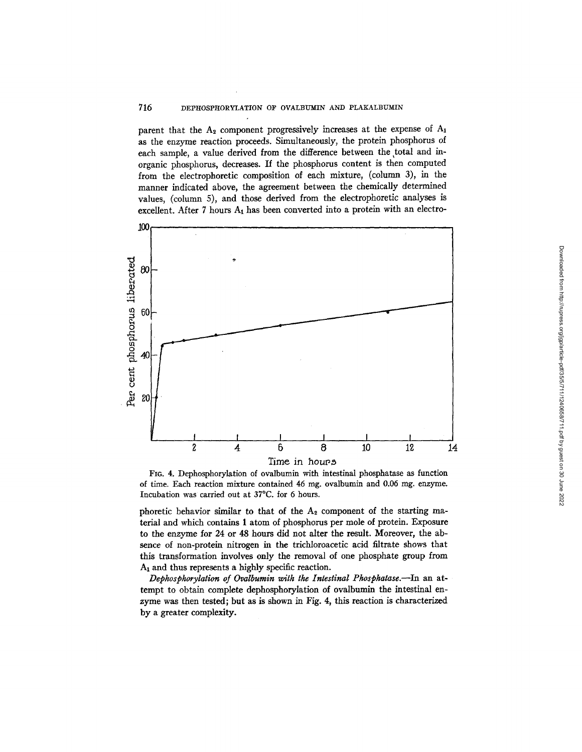# 716 DEPHOSPHORYLATION OF OVALBUMIN AND PLAKALBUMIN

parent that the  $A_2$  component progressively increases at the expense of  $A_1$ as the enzyme reaction proceeds. Simultaneously, the protein phosphorus of each sample, a value derived from the difference between the total and inorganic phosphorus, decreases. If the phosphorus content is then computed from the electrophoretic composition of each mixture, (column 3), in the manner indicated above, the agreement between the chemically determined values, (column 5), and those derived from the electrophoretic analyses is excellent. After 7 hours  $A_1$  has been converted into a protein with an electro-



Downloaded from http://rupress.org/jgp/article-pdf/35/5/711/1240658/711.pdf by guest on 30 June 2022 Downloaded from http://rupress.org/jgp/article-pdf/35/5/711/1240658/711.pdf by guest on 30 June 2022

FIG. 4. Dephosphorylation of ovalbumin with intestinal phosphatase as function of time. Each reaction mixture contained 46 mg. ovalbumin and 0.06 mg. enzyme. Incubation was carried out at 37°C. for 6 hours.

phoretic behavior similar to that of the  $A_2$  component of the starting material and which contains 1 atom of phosphorus per mole of protein. Exposure to the enzyme for 24 or 48 hours did not alter the result. Moreover, the absence of non-protein nitrogen in the trichloroacetic acid filtrate shows that this transformation involves only the removal of one phosphate group from A1 and thus represents a highly specific reaction.

*Dephosphorylation of Ovalbumin with the Intestinal Phosphatase.*--In an attempt to obtain complete dephosphorylation of ovalbumin the intestinal enzyme was then tested; but as is shown in Fig. 4, this reaction is characterized by a greater complexity.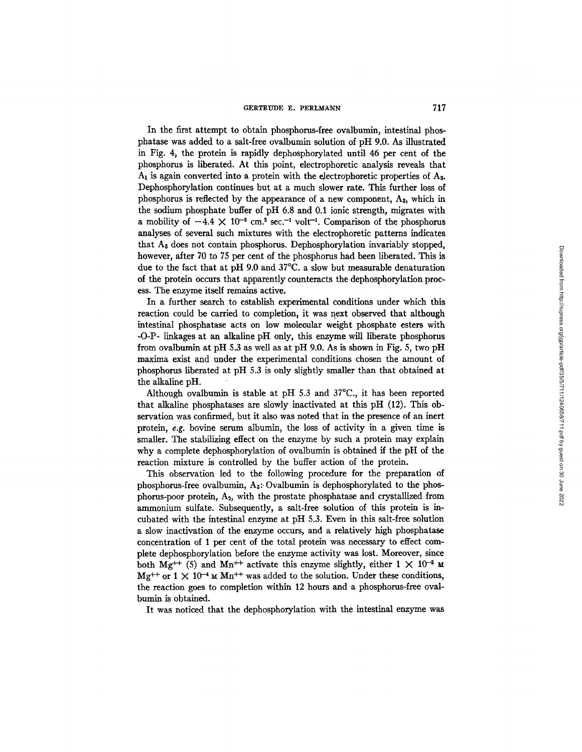In the first attempt to obtain phosphorus-free ovalbumin, intestinal phosphatase was added to a salt-free ovalbumin solution of pH 9.0. As illustrated in Fig. 4, the protein is rapidly dephosphorylated until 46 per cent of the phosphorus is liberated. At this point, electrophoretic analysis reveals that  $A_1$  is again converted into a protein with the electrophoretic properties of  $A_2$ . Dephosphorylation continues but at a much slower rate. This further loss of phosphorus is reflected by the appearance of a new component,  $A_3$ , which in the sodium phosphate buffer of pH 6.8 and 0.1 ionic strength, migrates with a mobility of  $-4.4 \times 10^{-5}$  cm.<sup>2</sup> sec.<sup>-1</sup> volt<sup>-1</sup>. Comparison of the phosphorus analyses of several such mixtures with the electrophoretic patterns indicates that A<sub>3</sub> does not contain phosphorus. Dephosphorylation invariably stopped, however, after 70 to 75 per cent of the phosphorus had been liberated. This is due to the fact that at pH 9.0 and 37°C. a slow but measurable denaturation of the protein occurs that apparently counteracts the dephosphorylation process. The enzyme itself remains active.

In a further search to establish experimental conditions under which this reaction could be carried to completion, it was next observed that although intestinal phosphatase acts on low molecular weight phosphate esters with -O-P- linkages at an alkaline pH only, this enzyme will liberate phosphorus from ovalbumin at pH 5.3 as well as at pH 9.0. As is shown in Fig. 5, two pH maxima exist and under the experimental conditions chosen the amount of phosphorus liberated at pH 5.3 is only slightly smaller than that obtained at the alkaline pH.

Although ovalbumin is stable at pH 5.3 and 37°C., it has been reported that alkaline phosphatases are slowly inactivated at this pH (12). This observation was confirmed, but it also was noted that in the presence of an inert protein, e.g. bovine serum albumin, the loss of activity in a given time is smaller. The stabilizing effect on the enzyme by such a protein may explain why a complete dephosphorylation of ovalbumin is obtained if the pH of the reaction mixture is controlled by the buffer action of the protein.

This observation led to the following procedure for the preparation of phosphorus-free ovalbumin,  $A_3$ : Ovalbumin is dephosphorylated to the phosphorus-poor protein,  $A_2$ , with the prostate phosphatase and crystallized from ammonium sulfate. Subsequently, a salt-free solution of this protein is incubated with the intestinal enzyme at pH 5.3. Even in this salt-free solution a slow inactivation of the enzyme occurs, and a relatively high phosphatase concentration of I per cent of the total protein was necessaxy to effect complete dephosphorylation before the enzyme activity was lost. Moreover, since both Mg<sup>++</sup> (5) and Mn<sup>++</sup> activate this enzyme slightly, either  $1 \times 10^{-3}$  M  $Mg^{++}$  or  $1 \times 10^{-4}$  M  $Mn^{++}$  was added to the solution. Under these conditions, the reaction goes to completion within 12 hours and a phosphorus-free ovalbumin is obtained.

It was noticed that the dephosphorylation with the intestinal enzyme was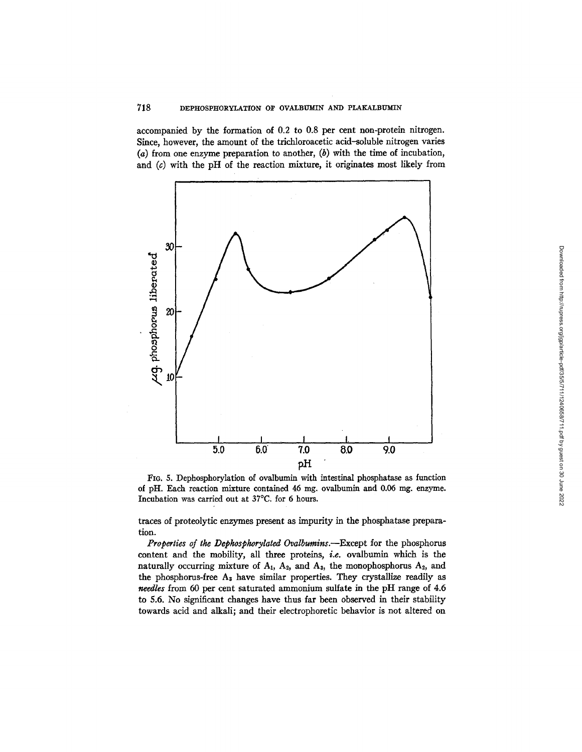accompanied by the formation of 0.2 to 0.8 per cent non-protein nitrogen. Since, however, the amount of the trichloroacetic acid-soluble nitrogen varies  $(a)$  from one enzyme preparation to another,  $(b)$  with the time of incubation, and  $(c)$  with the pH of the reaction mixture, it originates most likely from



FIG. 5. Dephosphorylation of ovalbumin with intestinal phosphatase as function of pH. Each reaction mixture contained 46 mg. ovalbumin and 0.06 mg. enzyme. Incubation was carried out at 37°C, for 6 hours.

traces of proteolytic enzymes present as impurity in the phosphatase preparation.

*Properties of the Dephosphorylated Ovalbumins.--Except* for the phosphorus content and the mobility, all three proteins, *i.e.* ovalbumin which is the naturally occurring mixture of  $A_1$ ,  $A_2$ , and  $A_3$ , the monophosphorus  $A_2$ , and the phosphorus-free  $A_3$  have similar properties. They crystallize readily as *needles* from 60 per cent saturated ammonium sulfate in the pH range of 4.6 to 5.6. No significant changes have thus far been observed in their stability towards acid and alkali; and their electrophoretic behavior is not altered on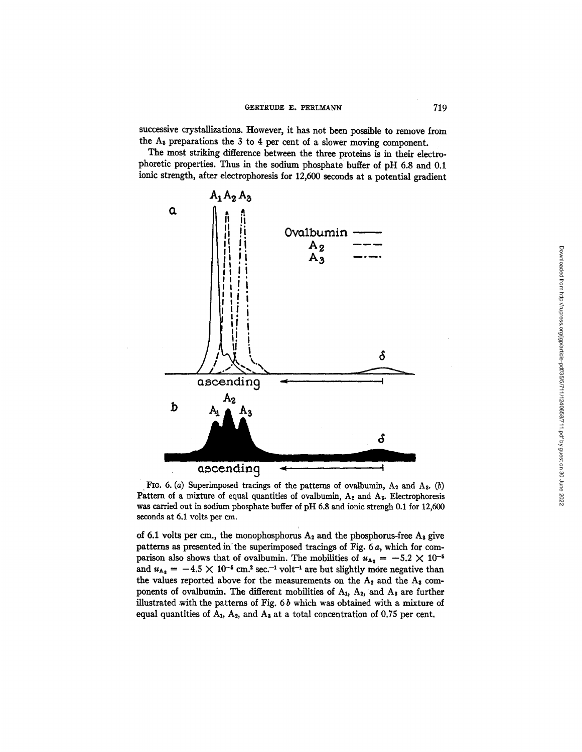successive crystallizations. However, it has not been possible to remove from the As preparations the 3 to 4 per cent of a slower moving component.

The most striking difference between the three proteins is in their electrophoretic properties. Thus in the sodium phosphate buffer of pH 6.8 and 0.1 ionic strength, after electrophoresis for 12,600 seconds at a potential gradient



FIG. 6. (a) Superimposed tracings of the patterns of ovalbumin,  $A_2$  and  $A_3$ . (b) Pattern of a mixture of equal quantities of ovalbumin,  $A_2$  and  $A_3$ . Electrophoresis was carried out in sodium phosphate buffer of pH 6.8 and ionic strengh 0.1 for 12,600 seconds at 6.1 volts per cm.

of 6.1 volts per cm., the monophosphorus  $A_2$  and the phosphorus-free  $A_3$  give patterns as presented in the superimposed tracings of Fig. 6 a, which for comparison also shows that of ovalbumin. The mobilities of  $u_{A_2} = -5.2 \times 10^{-5}$ and  $u_{A_3} = -4.5 \times 10^{-5}$  cm.<sup>2</sup> sec.<sup>-1</sup> volt<sup>-1</sup> are but slightly more negative than the values reported above for the measurements on the  $A_2$  and the  $A_3$  components of ovalbumin. The different mobilities of  $A_1$ ,  $A_2$ , and  $A_3$  are further illustrated with the patterns of Fig.  $6b$  which was obtained with a mixture of equal quantities of  $A_1$ ,  $A_2$ , and  $A_3$  at a total concentration of 0.75 per cent.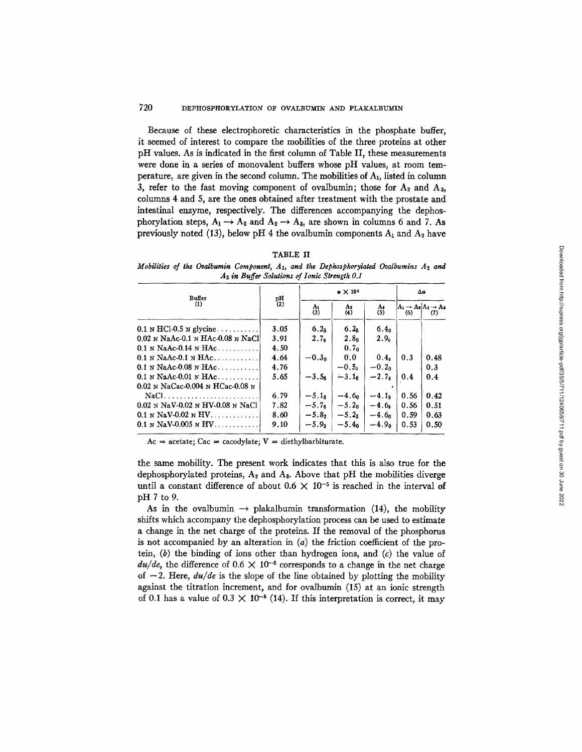Because of these electrophoretic characteristics in the phosphate buffer, it seemed of interest to compare the mobilities of the three proteins at other pH values. As is indicated in the first column of Table II, these measurements were done in a series of monovalent buffers whose pH values, at room temperature, are given in the second column. The mobilities of A1, listed in column 3, refer to the fast moving component of ovalbumin; those for  $A_2$  and  $A_3$ , columns 4 and 5, are the ones obtained after treatment with the prostate and intestinal enzyme, respectively. The differences accompanying the dephosphorylation steps,  $A_1 \rightarrow A_2$  and  $A_2 \rightarrow A_3$ , are shown in columns 6 and 7. As previously noted (13), below pH 4 the ovalbumin components  $A_1$  and  $A_2$  have

## TABLE II

*Mobilities of the Ovalbumin Component, A<sub>1</sub>, and the Dephosphorylated Ovalbumins A<sub>2</sub> and*  $A_3$  in Buffer Solutions of Ionic Strength 0.1

| <b>Buffer</b>                       |                   |                  | $\Delta u$       |                  |      |                                                  |
|-------------------------------------|-------------------|------------------|------------------|------------------|------|--------------------------------------------------|
| (1)                                 | $_{(2)}^{\rm pH}$ | Aı<br>(3)        | A۵<br>(4)        | A.<br>(5)        | (6)  | $A_1 \rightarrow A_2 A_2 \rightarrow A_3$<br>(7) |
| $0.1$ N HCl-0.5 N glycine $\ldots$  | 3.05              | 6.2 <sub>5</sub> | 6.2 <sub>5</sub> | 6.4 <sub>0</sub> |      |                                                  |
| $0.02$ N NaAc-0.1 N HAc-0.08 N NaCl | 3.91              | 2.7 <sub>e</sub> | 2.8 <sub>0</sub> | 2.9 <sub>0</sub> |      |                                                  |
| $0.1$ N NaAc-0.14 N HAc             | 4.50              |                  | 0.7 <sub>0</sub> |                  |      |                                                  |
| $0.1$ N NaAc-0.1 N HAc              | 4.64              | $-0.30$          | 0.0              | 0.4x             | 0.3  | 0.48                                             |
| $0.1$ N NaAc-0.08 N HAc             | 4.76              |                  | $-0.5o$          | $-0.20$          |      | 0.3                                              |
| $0.1$ N NaAc-0.01 N HAc             | 5.65              | $-3.56$          | $-3.16$          | $-2.74$          | 0.4  | 0.4                                              |
| $0.02$ N NaCac-0.004 N HCac-0.08 N  |                   |                  |                  |                  |      |                                                  |
|                                     | 6.79              | $-5.16$          | $-4.60$          | $-4.18$          | 0.56 | 0.42                                             |
| $0.02$ N NaV-0.02 N HV-0.08 N NaCl  | 7.82              | $-5.76$          | $-5.20$          | $-4.6$           | 0.56 | 0.51                                             |
| $0.1 \text{ N}$ NaV-0.02 N HV       | 8.60              | $-5.8$           | $-5.23$          | $-4.6n$          | 0.59 | 0.63                                             |
| $0.1$ N NaV-0.005 N HV              | 9.10              | $-5.93$          | $-5.40$          | $-4.90$          | 0.53 | 0.50                                             |

 $Ac = acetate$ ; Cac = cacodylate;  $V = diethylbarbiturate$ .

the same mobility. The present work indicates that this is also true for the dephosphorylated proteins,  $A_2$  and  $A_3$ . Above that pH the mobilities diverge until a constant difference of about  $0.6 \times 10^{-5}$  is reached in the interval of pH 7 to 9.

As in the ovalbumin  $\rightarrow$  plakalbumin transformation (14), the mobility shifts which accompany the dephosphorylation process can be used to estimate a change in the net charge of the proteins. If the removal of the phosphorus is not accompanied by an alteration in (a) the friction coefficient of the protein,  $(b)$  the binding of ions other than hydrogen ions, and  $(c)$  the value of  $du/de$ , the difference of  $0.6 \times 10^{-5}$  corresponds to a change in the net charge of  $-2$ . Here,  $du/de$  is the slope of the line obtained by plotting the mobility against the titration increment, and for ovalbumin (15) at an ionic strength of 0.1 has a value of  $0.3 \times 10^{-5}$  (14). If this interpretation is correct, it may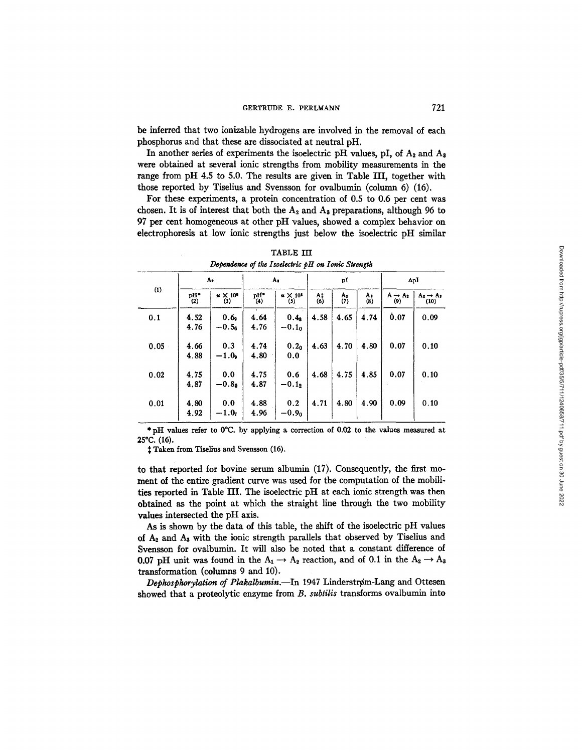be inferred that two ionizable hydrogens are involved in the removal of each phosphorus and that these are dissociated at neutral pH.

In another series of experiments the isoelectric pH values, pI, of  $A_2$  and  $A_3$ were obtained at several ionic strengths from mobility measurements in the range from pH 4.5 to 5.0. The results are given in Table III, together with those reported by Tiselius and Svensson for ovalbumin (column 6) (16).

For these experiments, a protein concentration of 0.5 to 0.6 per cent was chosen. It is of interest that both the  $A_2$  and  $A_3$  preparations, although 96 to 97 per cent homogeneous at other pH values, showed a complex behavior on electrophoresis at low ionic strengths just below the isoelectric pH similar

|      |              | A2                                          |              | A.                          |                       | pI        |           |                            | $\Delta pI$                   |  |
|------|--------------|---------------------------------------------|--------------|-----------------------------|-----------------------|-----------|-----------|----------------------------|-------------------------------|--|
| (1)  | pH*<br>(2)   | $\boldsymbol{\varkappa} \times 10^6$<br>(3) | pH*<br>(4)   | $\mu \times 10^5$<br>(5)    | $\frac{\Lambda}{(6)}$ | A,<br>(7) | Λ.<br>(8) | $A \rightarrow A_2$<br>(9) | $A_2 \rightarrow A_3$<br>(10) |  |
| 0.1  | 4.52<br>4.76 | 0.6 <sub>9</sub><br>$-0.56$                 | 4.64<br>4.76 | 0.4 <sub>s</sub><br>$-0.10$ | 4.58                  | 4.65      | 4.74      | 0.07                       | 0.09                          |  |
| 0.05 | 4.66<br>4.88 | 0.3<br>$-1.0$                               | 4.74<br>4.80 | 0.2 <sub>0</sub><br>0.0     | 4.63                  | 4.70      | 4.80      | 0.07                       | 0.10                          |  |
| 0.02 | 4.75<br>4.87 | 0.0<br>$-0.80$                              | 4.75<br>4.87 | 0.6<br>$-0.1$               | 4.68                  | 4.75      | 4.85      | 0.07                       | 0.10                          |  |
| 0.01 | 4.80<br>4.92 | 0.0<br>$-1.07$                              | 4.88<br>4.96 | 0.2<br>$-0.90$              | 4.71                  | 4.80      | 4.90      | 0.09                       | 0.10                          |  |

TABLE III *Dependence of the Isodearic pH on Ionic Strength* 

\* pH values refer to 0°C. by applying a correction of 0.02 to the values measured at 25°C. (16).

 $†$  Taken from Tiselius and Svensson (16).

to that reported for bovine serum albumin (17). Consequently, the first moment of the entire gradient curve was used for the computation of the mobilities reported in Table III. The isoelectric pH at each ionic strength was then obtained as the point at which the straight line through the two mobility values intersected the pH axis.

As is shown by the data of this table, the shift of the isoelectric pH values of A2 and Aa with the ionic strength parallels that observed by Tiselius and Svensson for ovalbumin. It will also be noted that a constant difference of 0.07 pH unit was found in the  $A_1 \rightarrow A_2$  reaction, and of 0.1 in the  $A_2 \rightarrow A_3$ transformation (columns 9 and 10).

Dephosphorylation of Plakalbumin.-In 1947 Linderstrøm-Lang and Ottesen showed that a proteolytic enzyme from *B. subtilis* transforms ovalbumin into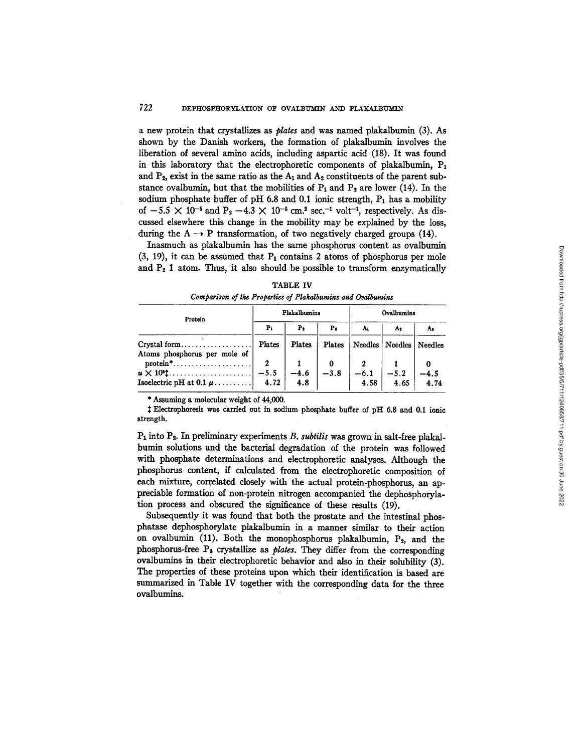a new protein that crystallizes as *plates* and was named plakalbumin (3). As shown by the Danish workers, the formation of plakalbumin involves the liberation of several amino acids, including aspartic acid (18). It was found in this laboratory that the electrophoretic components of plakalbumin,  $P_1$ and  $P_2$ , exist in the same ratio as the  $A_1$  and  $A_2$  constituents of the parent substance ovalbumin, but that the mobilities of  $P_1$  and  $P_2$  are lower (14). In the sodium phosphate buffer of pH 6.8 and 0.1 ionic strength,  $P_1$  has a mobility of  $-5.5 \times 10^{-5}$  and  $P_2 -4.3 \times 10^{-5}$  cm.<sup>2</sup> sec.<sup>-1</sup> volt<sup>-1</sup>, respectively. As discussed elsewhere this change in the mobility may be explained by the loss, during the  $A \rightarrow P$  transformation, of two negatively charged groups (14).

Inasmuch as plakalbumin has the same phosphorus content as ovalbumin  $(3, 19)$ , it can be assumed that  $P_1$  contains 2 atoms of phosphorus per mole and  $P_2$  1 atom. Thus, it also should be possible to transform enzymatically

| Protein                                                                            |                | Plakalbumins  |                | Ovalbumins     |         |         |  |
|------------------------------------------------------------------------------------|----------------|---------------|----------------|----------------|---------|---------|--|
|                                                                                    | P <sub>1</sub> | Р,            | P <sub>1</sub> | Aı             | A٠      | A:      |  |
| $Crystal form \dots \dots \dots \dots \dots \dots$<br>Atoms phosphorus per mole of | Plates         | Plates        | Plates         | <b>Needles</b> | Needles | Needles |  |
| $protein$ <sup>*</sup>                                                             | $\overline{2}$ |               |                |                |         |         |  |
|                                                                                    |                | $-4.6$<br>4.8 | $-3.8$         | $-6.1$         | $-5.2$  | $-4.5$  |  |
|                                                                                    |                |               |                | 4.58           | 4.65    | 4.74    |  |

TABLE IV *Comparison of the Properties of Plakalbumins and Ovalbumins* 

\* Assuming a molecular weight of 44,000.

:~ Eleetrophoresis was carried out in sodium phosphate buffer of pH 6.8 and 0.1 ionic strength.

P<sub>1</sub> into P<sub>2</sub>. In preliminary experiments *B. subtilis* was grown in salt-free plakalbumin solutions and the bacterial degradation of the protein was followed with phosphate determinations and electrophoretic analyses. Although the phosphorus content, if calculated from the electrophoretic composition of each mixture, correlated closely with the actual protein-phosphorus, an appreciable formation of non-protein nitrogen accompanied the dephosphorylation process and obscured the significance of these results (19).

Subsequently it was found that both the prostate and the intestinal phosphatase dephosphorylate plakalbumin in a manner similar to their action on ovalbumin (11). Both the monophosphorus plakalbumin,  $P_2$ , and the phosphorus-free Ps crystallize as *plates.* They differ from the corresponding ovalbumlns in their electrophoretic behavior and also in their solubility (3). The properties of these proteins upon which their identification is based are summarized in Table IV together with the corresponding data for the three ovalbumins.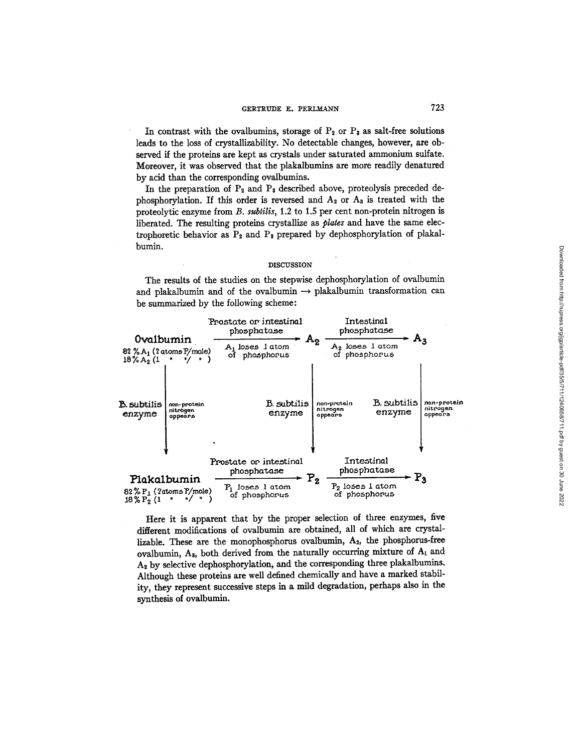In contrast with the ovalbumins, storage of  $P_2$  or  $P_3$  as salt-free solutions leads to the loss of crystallizability. No detectable changes, however, are observed if the proteins are kept as crystals under saturated ammonium sulfate. Moreover, it was observed that the plakalbumins are more readily denatured by acid than the corresponding ovalbumins.

In the preparation of  $P_2$  and  $P_3$  described above, proteolysis preceded dephosphorylation. If this order is reversed and  $A_2$  or  $A_3$  is treated with the proteolytic enzyme from *B. subtilis,* 1.2 to 1.5 per cent non-protein nitrogen is liberated. The resulting proteins crystallize as *plates* and have the same electrophoretic behavior as  $P_2$  and  $P_3$  prepared by dephosphorylation of plakalbumin.

#### DISCUSSION

The results of the studies on the stepwise dephosphorylation of ovalbumin and plakalbumin and of the ovalbumin  $\rightarrow$  plakalbumin transformation can be summarized by the following scheme:



Here it is apparent that by the proper selection of three enzymes, five different modifications of ovalbumin are obtained, all of which are crystallizable. These are the monophosphorus ovalbumin, A<sub>2</sub>, the phosphorus-free ovalbumin,  $A_3$ , both derived from the naturally occurring mixture of  $A_1$  and  $A<sub>2</sub>$  by selective dephosphorylation, and the corresponding three plakalbumins. Although these proteins are well defined chemically and have a marked stability, they represent successive steps in a mild degradation, perhaps also in the synthesis of ovalbumin.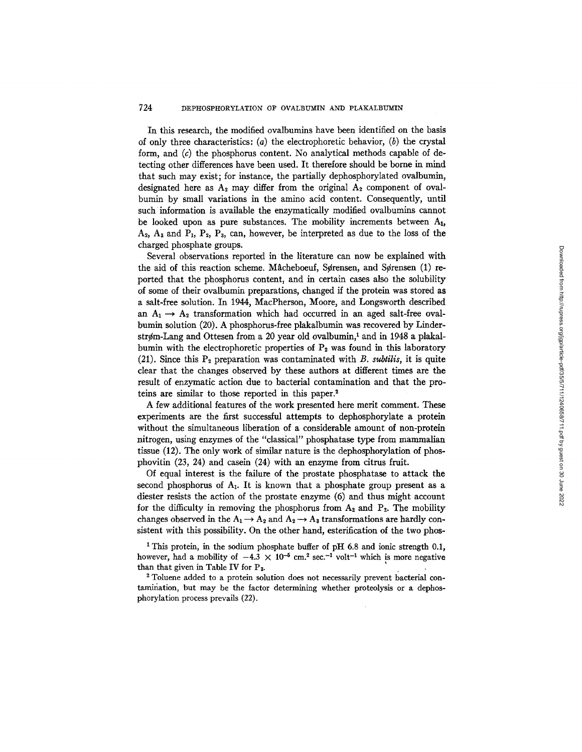# 724 DEPHOSPHORYLATION OF OVALBUMIN AND PLAKALBUM'IN

In this research, the modified ovalbumins have been identified on the basis of only three characteristics: (a) the electrophoretic behavior, (b) the crystal form, and  $(c)$  the phosphorus content. No analytical methods capable of detecting other differences have been used. It therefore should be borne in mind that such may exist; for instance, the partially dephosphorylated ovalbumin, designated here as  $A_2$  may differ from the original  $A_2$  component of ovalbumin by small variations in the amino acid content. Consequently, until such information is available the enzymaticatly modified ovalbumins cannot be looked upon as pure substances. The mobility increments between  $A<sub>1</sub>$ ,  $A_2$ ,  $A_3$  and  $P_1$ ,  $P_2$ ,  $P_3$ , can, however, be interpreted as due to the loss of the charged phosphate groups.

Several observations reported in the literature can now be explained with the aid of this reaction scheme. Måcheboeuf, Sørensen, and Sørensen  $(1)$  reported that the phosphorus content, and in certain cases also the solubility of some of their ovalbumin preparations, changed if the protein was stored as a salt-free solution. In 1944, MacPherson, Moore, and Longsworth described an  $A_1 \rightarrow A_2$  transformation which had occurred in an aged salt-free ovalbumin solution (20). A phosphorus-free plakalbumin was recovered by Linderstrøm-Lang and Ottesen from a 20 year old ovalbumin,<sup>1</sup> and in 1948 a plakalbumin with the electrophoretic properties of  $P_2$  was found in this laboratory (21). Since this  $P_2$  preparation was contaminated with *B. subtilis*, it is quite clear that the changes observed by these authors at different times are the result of enzymatic action due to bacterial contamination and that the proteins are similar to those reported in this paper.<sup>2</sup>

A few additional features of the work presented here merit comment. These experiments are the first successful attempts to dephosphorylate a protein without the simultaneous liberation of a considerable amount of non-protein nitrogen, using enzymes of the "classical" phosphatase type from mammalian tissue (12). The only work of similar nature is the dephosphorylation of phosphovitin (23, 24) and casein (24) with an enzyme from citrus fruit.

Of equal interest is the failure of the prostate phosphatase to attack the second phosphorus of  $A_1$ . It is known that a phosphate group present as a diester resists the action of the prostate enzyme (6) and thus might account for the difficulty in removing the phosphorus from  $A_2$  and  $P_2$ . The mobility changes observed in the  $A_1 \rightarrow A_2$  and  $A_2 \rightarrow A_3$  transformations are hardly consistent with this possibility. On the other hand, esterification of the two phos-

<sup>1</sup> This protein, in the sodium phosphate buffer of pH 6.8 and ionic strength 0.1, however, had a mobility of  $-4.3 \times 10^{-5}$  cm.<sup>2</sup> sec.<sup>-1</sup> volt<sup>-1</sup> which is more negative than that given in Table IV for  $P_3$ .

<sup>2</sup> Toluene added to a protein solution does not necessarily prevent bacterial contamhiation, but may be the factor determining whether proteolysis or a dephosphorylation process prevails (22).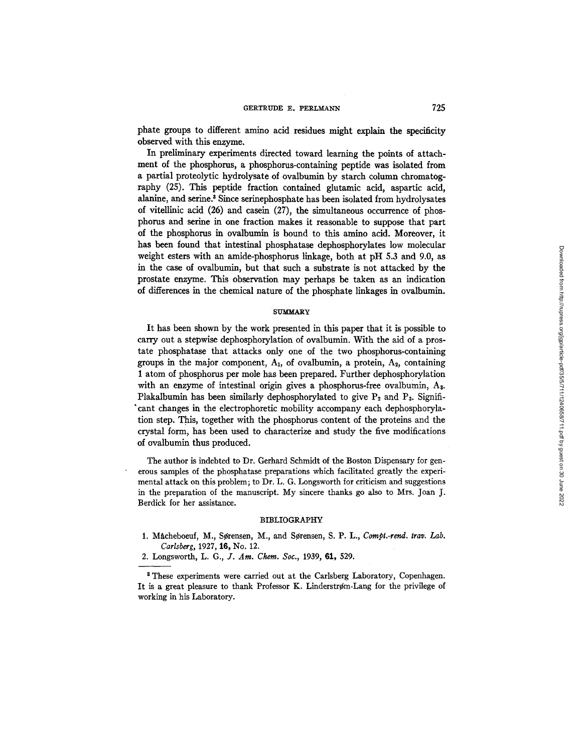phate groups to different amino acid residues might explain the specificity observed with this enzyme.

In preliminary experiments directed toward learning the points of attachment of the phosphorus, a phosphorus-containing peptide was isolated from a partial proteolytic hydrolysate of ovalbumin by starch column chromatography (25). This peptide fraction contained glutamic acid, aspartic acid, alanine, and serine.<sup>3</sup> Since serinephosphate has been isolated from hydrolysates of vitellinic acid (26) and casein (27), the simultaneous occurrence of phosphorus and serine in one fraction makes it reasonable to suppose that part of the phosphorus in ovalbumin is bound to this amino acid. Moreover, it has been found that intestinal phosphatase dephosphorylates low molecular weight esters with an amide-phosphorus linkage, both at pH 5.3 and 9.0, as in the case of ovalbumin, but that such a substrate is not attacked by the prostate enzyme. This observation may perhaps be taken as an indication of differences in the chemical nature of the phosphate linkages in ovalbumin.

#### **SlYM:MARY**

It has been shown by the work presented in this paper that it is possible to carry out a stepwise dephosphorylation of ovalbumin. With the aid of a prostate phosphatase that attacks only one of the two phosphorus-containing groups in the major component,  $A_1$ , of ovalbumin, a protein,  $A_2$ , containing 1 atom of phosphorus per mole has been prepared. Further dephosphorylation with an enzyme of intestinal origin gives a phosphorus-free ovalbumin, A<sub>3</sub>. Plakalbumin has been similarly dephosphorylated to give  $P_2$  and  $P_3$ . Significant changes in the electrophoretic mobility accompany each dephosphorylation step. This, together with the phosphorus content of the proteins and the crystal form, has been used to characterize and study the five modifications of ovalbumin thus produced.

The author is indebted to Dr. Gerhard Schmidt of the Boston Dispensary for generous samples of the phosphatase preparations which facilitated greatly the experimental attack on this problem; to Dr. L. G. Longsworth for criticism and suggestions in the preparation of the manuscript. My sincere thanks go also to Mrs. Joan J. Berdick for her assistance.

## BIBLIOGRAPHY

- 1. Måcheboeuf, M., Sørensen, M., and Sørensen, S. P. L., *Compt.-rend. trav. Lab. Carlsberg,* 1927, 16, No. 12.
- 2. Longsworth, *L. G., J. Am. Chem. Sot.,* 1939, 61, 529.

<sup>&</sup>lt;sup>8</sup> These experiments were carried out at the Carlsberg Laboratory, Copenhagen. It is a great pleasure to thank Professor K. Linderstrøm-Lang for the privilege of working in his Laboratory.